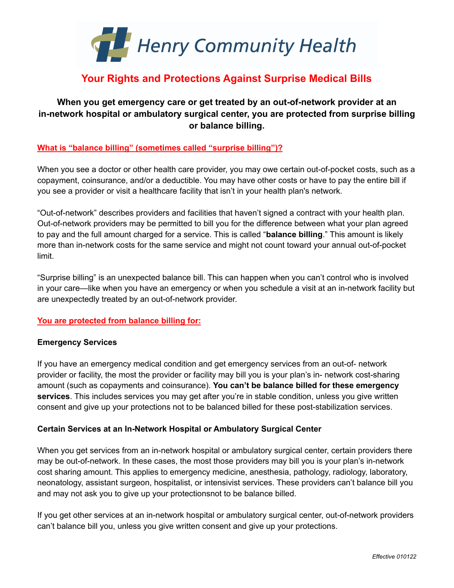

# **Your Rights and Protections Against Surprise Medical Bills**

# **When you get emergency care or get treated by an out-of-network provider at an in-network hospital or ambulatory surgical center, you are protected from surprise billing or balance billing.**

# **What is "balance billing" (sometimes called "surprise billing")?**

When you see a doctor or other health care provider, you may owe certain out-of-pocket costs, such as a copayment, coinsurance, and/or a deductible. You may have other costs or have to pay the entire bill if you see a provider or visit a healthcare facility that isn't in your health plan's network.

"Out-of-network" describes providers and facilities that haven't signed a contract with your health plan. Out-of-network providers may be permitted to bill you for the difference between what your plan agreed to pay and the full amount charged for a service. This is called "**balance billing**." This amount is likely more than in-network costs for the same service and might not count toward your annual out-of-pocket limit.

"Surprise billing" is an unexpected balance bill. This can happen when you can't control who is involved in your care—like when you have an emergency or when you schedule a visit at an in-network facility but are unexpectedly treated by an out-of-network provider.

# **You are protected from balance billing for:**

#### **Emergency Services**

If you have an emergency medical condition and get emergency services from an out-of- network provider or facility, the most the provider or facility may bill you is your plan's in- network cost-sharing amount (such as copayments and coinsurance). **You can't be balance billed for these emergency services**. This includes services you may get after you're in stable condition, unless you give written consent and give up your protections not to be balanced billed for these post-stabilization services.

# **Certain Services at an In-Network Hospital or Ambulatory Surgical Center**

When you get services from an in-network hospital or ambulatory surgical center, certain providers there may be out-of-network. In these cases, the most those providers may bill you is your plan's in-network cost sharing amount. This applies to emergency medicine, anesthesia, pathology, radiology, laboratory, neonatology, assistant surgeon, hospitalist, or intensivist services. These providers can't balance bill you and may not ask you to give up your protectionsnot to be balance billed.

If you get other services at an in-network hospital or ambulatory surgical center, out-of-network providers can't balance bill you, unless you give written consent and give up your protections.